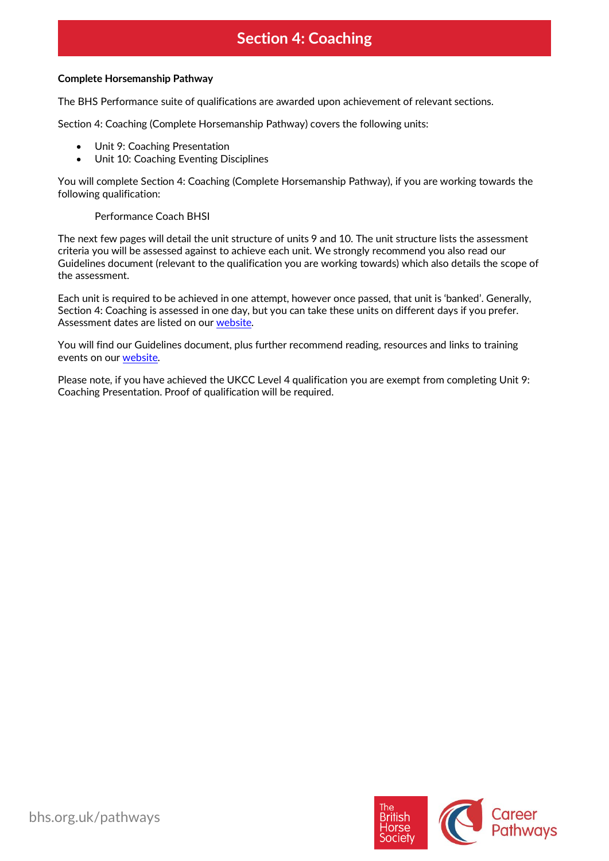# **Section 4: Coaching**

#### **Complete Horsemanship Pathway**

The BHS Performance suite of qualifications are awarded upon achievement of relevant sections.

Section 4: Coaching (Complete Horsemanship Pathway) covers the following units:

- Unit 9: Coaching Presentation
- Unit 10: Coaching Eventing Disciplines

You will complete Section 4: Coaching (Complete Horsemanship Pathway), if you are working towards the following qualification:

#### Performance Coach BHSI

The next few pages will detail the unit structure of units 9 and 10. The unit structure lists the assessment criteria you will be assessed against to achieve each unit. We strongly recommend you also read our Guidelines document (relevant to the qualification you are working towards) which also details the scope of the assessment.

Each unit is required to be achieved in one attempt, however once passed, that unit is 'banked'. Generally, Section 4: Coaching is assessed in one day, but you can take these units on different days if you prefer. Assessment dates are listed on ou[r website.](https://pathways.bhs.org.uk/assessments-training/find-an-assessment/)

You will find our Guidelines document, plus further recommend reading, resources and links to training events on ou[r website.](https://pathways.bhs.org.uk/career-pathways/)

Please note, if you have achieved the UKCC Level 4 qualification you are exempt from completing Unit 9: Coaching Presentation. Proof of qualification will be required.

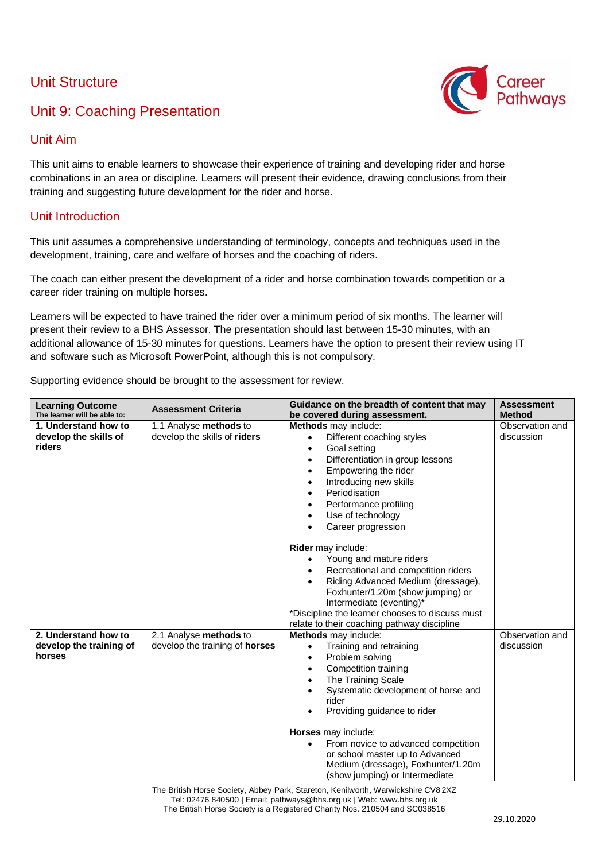## Unit Structure



### Unit Aim

This unit aims to enable learners to showcase their experience of training and developing rider and horse combinations in an area or discipline. Learners will present their evidence, drawing conclusions from their training and suggesting future development for the rider and horse.

### Unit Introduction

This unit assumes a comprehensive understanding of terminology, concepts and techniques used in the development, training, care and welfare of horses and the coaching of riders.

The coach can either present the development of a rider and horse combination towards competition or a career rider training on multiple horses.

Learners will be expected to have trained the rider over a minimum period of six months. The learner will present their review to a BHS Assessor. The presentation should last between 15-30 minutes, with an additional allowance of 15-30 minutes for questions. Learners have the option to present their review using IT and software such as Microsoft PowerPoint, although this is not compulsory.

Supporting evidence should be brought to the assessment for review.

| <b>Learning Outcome</b><br>The learner will be able to:   | <b>Assessment Criteria</b>                                      | Guidance on the breadth of content that may<br>be covered during assessment.                                                                                                                                                                                                                                                                                                                                        | <b>Assessment</b><br><b>Method</b> |
|-----------------------------------------------------------|-----------------------------------------------------------------|---------------------------------------------------------------------------------------------------------------------------------------------------------------------------------------------------------------------------------------------------------------------------------------------------------------------------------------------------------------------------------------------------------------------|------------------------------------|
| 1. Understand how to<br>develop the skills of<br>riders   | 1.1 Analyse methods to<br>develop the skills of riders          | Methods may include:<br>Different coaching styles<br>$\bullet$<br>Goal setting<br>$\bullet$<br>Differentiation in group lessons<br>٠<br>Empowering the rider<br>$\bullet$<br>Introducing new skills<br>Periodisation<br>Performance profiling<br>Use of technology<br>٠<br>Career progression                                                                                                                       | Observation and<br>discussion      |
|                                                           |                                                                 | Rider may include:<br>Young and mature riders<br>$\bullet$<br>Recreational and competition riders<br>Riding Advanced Medium (dressage),<br>Foxhunter/1.20m (show jumping) or<br>Intermediate (eventing)*<br>*Discipline the learner chooses to discuss must<br>relate to their coaching pathway discipline                                                                                                          |                                    |
| 2. Understand how to<br>develop the training of<br>horses | 2.1 Analyse methods to<br>develop the training of <b>horses</b> | <b>Methods</b> may include:<br>Training and retraining<br>$\bullet$<br>Problem solving<br>٠<br>Competition training<br>٠<br>The Training Scale<br>Systematic development of horse and<br>rider<br>Providing guidance to rider<br>$\bullet$<br>Horses may include:<br>From novice to advanced competition<br>or school master up to Advanced<br>Medium (dressage), Foxhunter/1.20m<br>(show jumping) or Intermediate | Observation and<br>discussion      |

The British Horse Society, Abbey Park, Stareton, Kenilworth, Warwickshire CV8 2XZ Tel: 02476 840500 | Email: pathways@bhs.org.uk | Web: [www.bhs.org.uk](http://www.bhs.org.uk/) The British Horse Society is a Registered Charity Nos. 210504 and SC038516

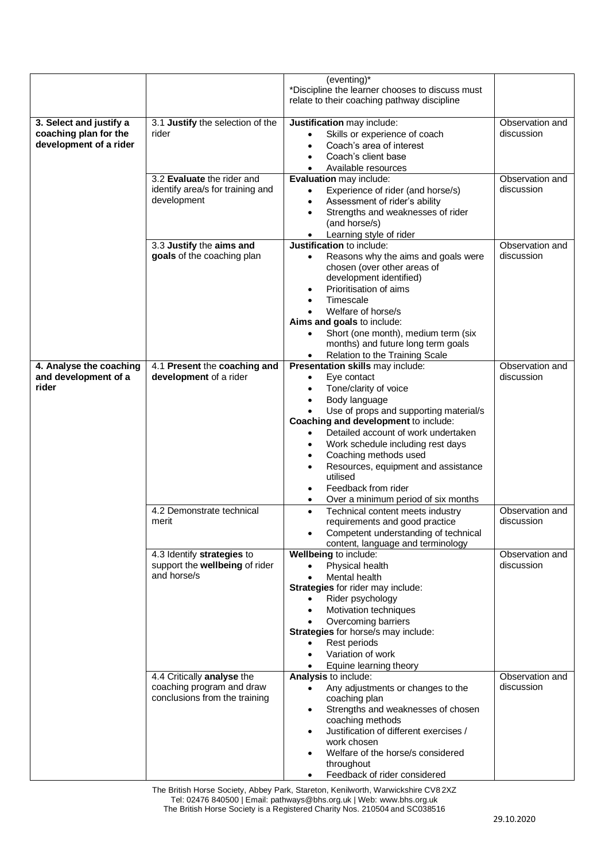|                                                                            |                                                                                          | (eventing)*<br>*Discipline the learner chooses to discuss must                                                                                                                                                                                                                                       |                               |
|----------------------------------------------------------------------------|------------------------------------------------------------------------------------------|------------------------------------------------------------------------------------------------------------------------------------------------------------------------------------------------------------------------------------------------------------------------------------------------------|-------------------------------|
|                                                                            |                                                                                          | relate to their coaching pathway discipline                                                                                                                                                                                                                                                          |                               |
| 3. Select and justify a<br>coaching plan for the<br>development of a rider | 3.1 Justify the selection of the<br>rider                                                | Justification may include:<br>Skills or experience of coach<br>$\bullet$<br>Coach's area of interest<br>Coach's client base                                                                                                                                                                          | Observation and<br>discussion |
|                                                                            | 3.2 Evaluate the rider and                                                               | Available resources<br>$\bullet$                                                                                                                                                                                                                                                                     | Observation and               |
|                                                                            | identify area/s for training and<br>development                                          | Evaluation may include:<br>Experience of rider (and horse/s)<br>$\bullet$<br>Assessment of rider's ability<br>٠<br>Strengths and weaknesses of rider<br>(and horse/s)<br>Learning style of rider<br>$\bullet$                                                                                        | discussion                    |
|                                                                            | 3.3 Justify the aims and                                                                 | Justification to include:                                                                                                                                                                                                                                                                            | Observation and               |
|                                                                            | goals of the coaching plan                                                               | Reasons why the aims and goals were<br>$\bullet$<br>chosen (over other areas of<br>development identified)<br>Prioritisation of aims<br>$\bullet$<br>Timescale<br>٠<br>Welfare of horse/s<br>Aims and goals to include:<br>Short (one month), medium term (six<br>$\bullet$                          | discussion                    |
|                                                                            |                                                                                          | months) and future long term goals                                                                                                                                                                                                                                                                   |                               |
| 4. Analyse the coaching                                                    | 4.1 Present the coaching and                                                             | Relation to the Training Scale<br>٠<br>Presentation skills may include:                                                                                                                                                                                                                              | Observation and               |
| and development of a<br>rider                                              | development of a rider                                                                   | Eye contact<br>$\bullet$<br>Tone/clarity of voice<br>$\bullet$<br>Body language<br>$\bullet$<br>Use of props and supporting material/s<br>$\bullet$<br>Coaching and development to include:<br>Detailed account of work undertaken<br>$\bullet$<br>Work schedule including rest days                 | discussion                    |
|                                                                            |                                                                                          | Coaching methods used<br>٠<br>Resources, equipment and assistance<br>$\bullet$<br>utilised<br>Feedback from rider<br>$\bullet$<br>Over a minimum period of six months                                                                                                                                |                               |
|                                                                            | 4.2 Demonstrate technical<br>merit                                                       | Technical content meets industry<br>$\bullet$<br>requirements and good practice<br>Competent understanding of technical<br>content, language and terminology                                                                                                                                         | Observation and<br>discussion |
|                                                                            | 4.3 Identify strategies to<br>support the wellbeing of rider<br>and horse/s              | Wellbeing to include:<br>Physical health<br>$\bullet$<br>Mental health<br>$\bullet$<br>Strategies for rider may include:<br>Rider psychology<br>Motivation techniques<br>$\bullet$<br>Overcoming barriers<br>Strategies for horse/s may include:<br>Rest periods<br>$\bullet$                        | Observation and<br>discussion |
|                                                                            |                                                                                          | Variation of work<br>٠                                                                                                                                                                                                                                                                               |                               |
|                                                                            |                                                                                          | Equine learning theory<br>$\bullet$                                                                                                                                                                                                                                                                  |                               |
|                                                                            | 4.4 Critically analyse the<br>coaching program and draw<br>conclusions from the training | Analysis to include:<br>Any adjustments or changes to the<br>$\bullet$<br>coaching plan<br>Strengths and weaknesses of chosen<br>$\bullet$<br>coaching methods<br>Justification of different exercises /<br>$\bullet$<br>work chosen<br>Welfare of the horse/s considered<br>$\bullet$<br>throughout | Observation and<br>discussion |
|                                                                            |                                                                                          | Feedback of rider considered<br>$\bullet$                                                                                                                                                                                                                                                            |                               |

The British Horse Society, Abbey Park, Stareton, Kenilworth, Warwickshire CV8 2XZ Tel: 02476 840500 | Email: pathways@bhs.org.uk | Web: [www.bhs.org.uk](http://www.bhs.org.uk/) The British Horse Society is a Registered Charity Nos. 210504 and SC038516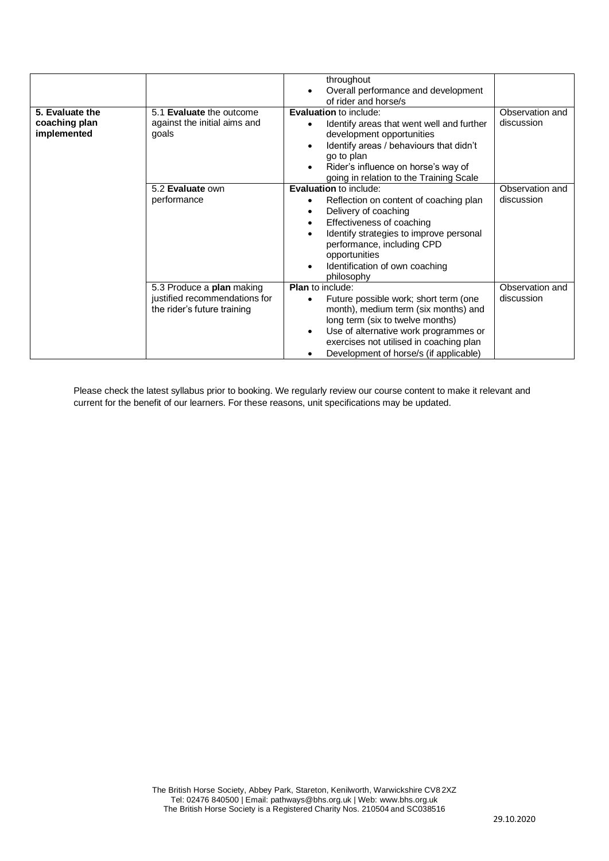|                                                 |                                                                                           | throughout<br>Overall performance and development<br>$\bullet$<br>of rider and horse/s                                                                                                                                                                                                  |                               |
|-------------------------------------------------|-------------------------------------------------------------------------------------------|-----------------------------------------------------------------------------------------------------------------------------------------------------------------------------------------------------------------------------------------------------------------------------------------|-------------------------------|
| 5. Evaluate the<br>coaching plan<br>implemented | 5.1 Evaluate the outcome<br>against the initial aims and<br>goals                         | Evaluation to include:<br>Identify areas that went well and further<br>development opportunities<br>Identify areas / behaviours that didn't<br>go to plan<br>Rider's influence on horse's way of<br>$\bullet$<br>going in relation to the Training Scale                                | Observation and<br>discussion |
|                                                 | 5.2 Evaluate own<br>performance                                                           | Evaluation to include:<br>Reflection on content of coaching plan<br>Delivery of coaching<br>Effectiveness of coaching<br>٠<br>Identify strategies to improve personal<br>performance, including CPD<br>opportunities<br>Identification of own coaching<br>$\bullet$<br>philosophy       | Observation and<br>discussion |
|                                                 | 5.3 Produce a plan making<br>justified recommendations for<br>the rider's future training | <b>Plan</b> to include:<br>Future possible work; short term (one<br>month), medium term (six months) and<br>long term (six to twelve months)<br>Use of alternative work programmes or<br>$\bullet$<br>exercises not utilised in coaching plan<br>Development of horse/s (if applicable) | Observation and<br>discussion |

Please check the latest syllabus prior to booking. We regularly review our course content to make it relevant and current for the benefit of our learners. For these reasons, unit specifications may be updated.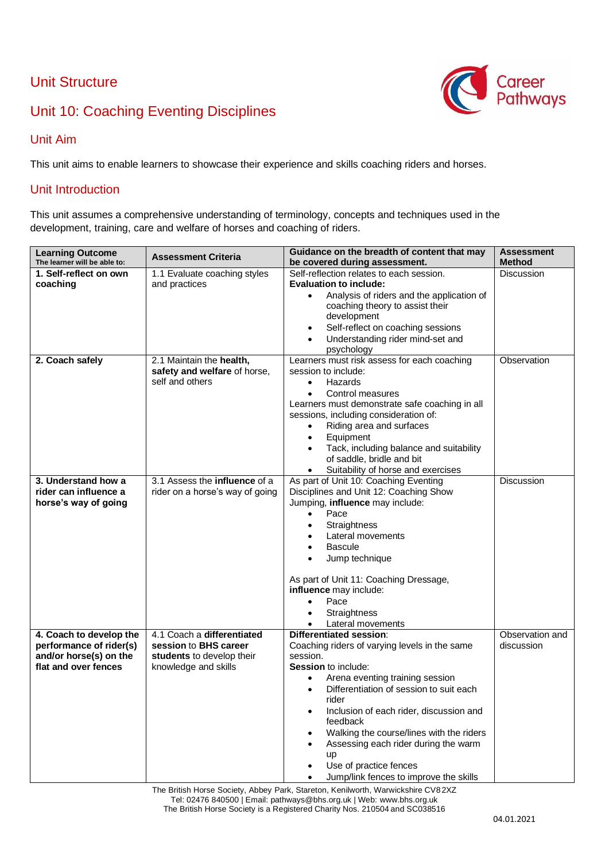## Unit Structure



## Unit 10: Coaching Eventing Disciplines

#### Unit Aim

This unit aims to enable learners to showcase their experience and skills coaching riders and horses.

#### Unit Introduction

This unit assumes a comprehensive understanding of terminology, concepts and techniques used in the development, training, care and welfare of horses and coaching of riders.

| <b>Learning Outcome</b><br>The learner will be able to:                                              | <b>Assessment Criteria</b>                                                                               | Guidance on the breadth of content that may<br>be covered during assessment.                                                                                                                                                                                                                                                                                                                                                                                    | <b>Assessment</b><br><b>Method</b> |
|------------------------------------------------------------------------------------------------------|----------------------------------------------------------------------------------------------------------|-----------------------------------------------------------------------------------------------------------------------------------------------------------------------------------------------------------------------------------------------------------------------------------------------------------------------------------------------------------------------------------------------------------------------------------------------------------------|------------------------------------|
| 1. Self-reflect on own<br>coaching                                                                   | 1.1 Evaluate coaching styles<br>and practices                                                            | Self-reflection relates to each session.<br><b>Evaluation to include:</b><br>Analysis of riders and the application of<br>$\bullet$<br>coaching theory to assist their<br>development<br>Self-reflect on coaching sessions<br>$\bullet$<br>Understanding rider mind-set and<br>$\bullet$                                                                                                                                                                        | <b>Discussion</b>                  |
| 2. Coach safely                                                                                      | 2.1 Maintain the health,<br>safety and welfare of horse,<br>self and others                              | psychology<br>Learners must risk assess for each coaching<br>session to include:<br>Hazards<br>$\bullet$<br>Control measures<br>$\bullet$<br>Learners must demonstrate safe coaching in all<br>sessions, including consideration of:<br>Riding area and surfaces<br>$\bullet$<br>Equipment<br>$\bullet$<br>Tack, including balance and suitability<br>$\bullet$<br>of saddle, bridle and bit<br>Suitability of horse and exercises<br>$\bullet$                 | Observation                        |
| 3. Understand how a<br>rider can influence a<br>horse's way of going                                 | 3.1 Assess the influence of a<br>rider on a horse's way of going                                         | As part of Unit 10: Coaching Eventing<br>Disciplines and Unit 12: Coaching Show<br>Jumping, influence may include:<br>Pace<br>$\bullet$<br>Straightness<br>$\bullet$<br>Lateral movements<br><b>Bascule</b><br>Jump technique<br>$\bullet$<br>As part of Unit 11: Coaching Dressage,<br>influence may include:<br>Pace<br>$\bullet$<br>Straightness<br>$\bullet$<br>Lateral movements<br>$\bullet$                                                              | <b>Discussion</b>                  |
| 4. Coach to develop the<br>performance of rider(s)<br>and/or horse(s) on the<br>flat and over fences | 4.1 Coach a differentiated<br>session to BHS career<br>students to develop their<br>knowledge and skills | <b>Differentiated session:</b><br>Coaching riders of varying levels in the same<br>session.<br><b>Session to include:</b><br>Arena eventing training session<br>Differentiation of session to suit each<br>$\bullet$<br>rider<br>Inclusion of each rider, discussion and<br>$\bullet$<br>feedback<br>Walking the course/lines with the riders<br>Assessing each rider during the warm<br>up<br>Use of practice fences<br>Jump/link fences to improve the skills | Observation and<br>discussion      |

The British Horse Society, Abbey Park, Stareton, Kenilworth, Warwickshire CV82XZ Tel: 02476 840500 | Email: pathways@bhs.org.uk | Web: [www.bhs.org.uk](http://www.bhs.org.uk/) The British Horse Society is a Registered Charity Nos. 210504 and SC038516